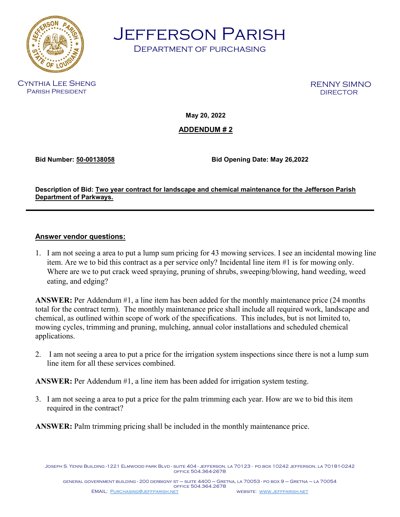

Jefferson Parish

Department of purchasing

Cynthia Lee Sheng Parish President

RENNY SIMNO

**May 20, 2022** 

**ADDENDUM # 2** 

**Bid Number: 50-00138058 Bid Opening Date: May 26,2022**

**Description of Bid: Two year contract for landscape and chemical maintenance for the Jefferson Parish Department of Parkways.**

## **Answer vendor questions:**

1. I am not seeing a area to put a lump sum pricing for 43 mowing services. I see an incidental mowing line item. Are we to bid this contract as a per service only? Incidental line item #1 is for mowing only. Where are we to put crack weed spraying, pruning of shrubs, sweeping/blowing, hand weeding, weed eating, and edging?

**ANSWER:** Per Addendum #1, a line item has been added for the monthly maintenance price (24 months total for the contract term). The monthly maintenance price shall include all required work, landscape and chemical, as outlined within scope of work of the specifications. This includes, but is not limited to, mowing cycles, trimming and pruning, mulching, annual color installations and scheduled chemical applications.

2. I am not seeing a area to put a price for the irrigation system inspections since there is not a lump sum line item for all these services combined.

**ANSWER:** Per Addendum #1, a line item has been added for irrigation system testing.

3. I am not seeing a area to put a price for the palm trimming each year. How are we to bid this item required in the contract?

**ANSWER:** Palm trimming pricing shall be included in the monthly maintenance price.

Joseph S. Yenni Building -1221 Elmwood park Blvd - suite 404 - jefferson, la 70123 - po box 10242 jefferson, la 70181-0242 office 504.364-2678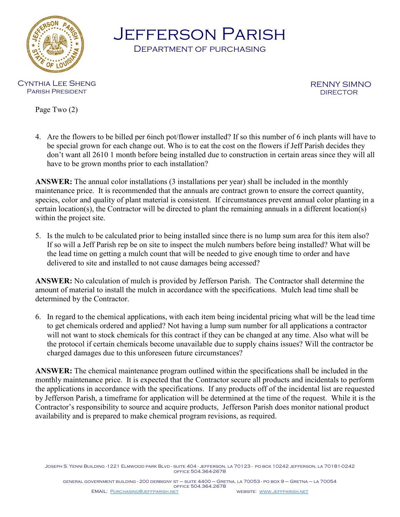

Jefferson Parish

Department of purchasing

Cynthia Lee Sheng Parish President

RENNY SIMNO<br>DIRECTOR

Page Two (2)

4. Are the flowers to be billed per 6inch pot/flower installed? If so this number of 6 inch plants will have to be special grown for each change out. Who is to eat the cost on the flowers if Jeff Parish decides they don't want all 2610 1 month before being installed due to construction in certain areas since they will all have to be grown months prior to each installation?

**ANSWER:** The annual color installations (3 installations per year) shall be included in the monthly maintenance price. It is recommended that the annuals are contract grown to ensure the correct quantity, species, color and quality of plant material is consistent. If circumstances prevent annual color planting in a certain location(s), the Contractor will be directed to plant the remaining annuals in a different location(s) within the project site.

5. Is the mulch to be calculated prior to being installed since there is no lump sum area for this item also? If so will a Jeff Parish rep be on site to inspect the mulch numbers before being installed? What will be the lead time on getting a mulch count that will be needed to give enough time to order and have delivered to site and installed to not cause damages being accessed?

**ANSWER:** No calculation of mulch is provided by Jefferson Parish. The Contractor shall determine the amount of material to install the mulch in accordance with the specifications. Mulch lead time shall be determined by the Contractor.

6. In regard to the chemical applications, with each item being incidental pricing what will be the lead time to get chemicals ordered and applied? Not having a lump sum number for all applications a contractor will not want to stock chemicals for this contract if they can be changed at any time. Also what will be the protocol if certain chemicals become unavailable due to supply chains issues? Will the contractor be charged damages due to this unforeseen future circumstances?

**ANSWER:** The chemical maintenance program outlined within the specifications shall be included in the monthly maintenance price. It is expected that the Contractor secure all products and incidentals to perform the applications in accordance with the specifications. If any products off of the incidental list are requested by Jefferson Parish, a timeframe for application will be determined at the time of the request. While it is the Contractor's responsibility to source and acquire products, Jefferson Parish does monitor national product availability and is prepared to make chemical program revisions, as required.

Joseph S. Yenni Building -1221 Elmwood park Blvd - suite 404 - jefferson, la 70123 - po box 10242 jefferson, la 70181-0242 office 504.364-2678